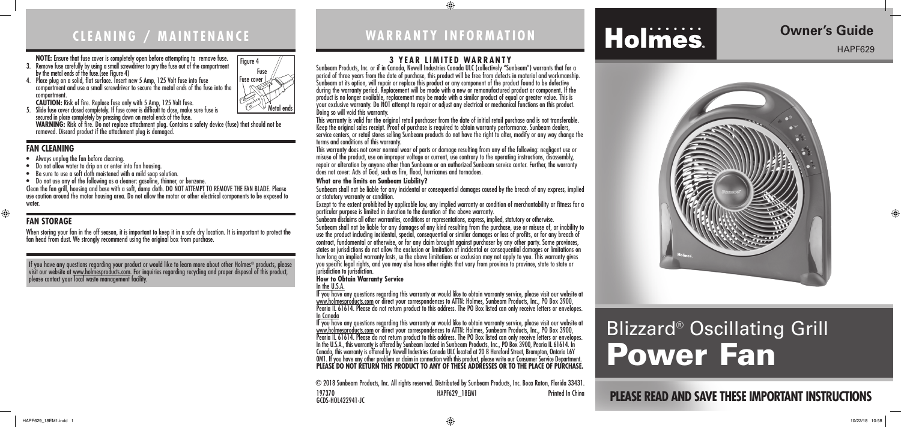# **3 YEAR LIMITED WARRANTY**

Sunbeam Products, Inc. or if in Canada, Newell Industries Canada ULC (collectively "Sunbeam") warrants that for a period of three years from the date of purchase, this product will be free from defects in material and workmanship. Sunbeam at its option, will repair or replace this product or any component of the product found to be defective during the warranty period. Replacement will be made with a new or remanufactured product or component. If the product is no longer available, replacement may be made with a similar product of equal or greater value. This is your exclusive warranty. Do NOT attempt to repair or adjust any electrical or mechanical functions on this product. Doing so will void this warranty.

Sunbeam shall not be liable for any incidental or consequential damages caused by the breach of any express, implied or statutory warranty or condition.

This warranty is valid for the original retail purchaser from the date of initial retail purchase and is not transferable. Keep the original sales receipt. Proof of purchase is required to obtain warranty performance. Sunbeam dealers, service centers, or retail stores selling Sunbeam products do not have the right to alter, modify or any way change the terms and conditions of this warranty.

This warranty does not cover normal wear of parts or damage resulting from any of the following: negligent use or misuse of the product, use on improper voltage or current, use contrary to the operating instructions, disassembly, repair or alteration by anyone other than Sunbeam or an authorized Sunbeam service center. Further, the warranty does not cover: Acts of God, such as fire, flood, hurricanes and tornadoes.

If you have any questions regarding this warranty or would like to obtain warranty service, please visit our website at <u>www.holmesproducts.com</u> or direct your correspondences to ATTN: Holmes, Sunbeam Products, Inc., PO Box 3900,<br>Peoria IL 61614. Please do not return product to this address. The PO Box listed can only receive letters or env <u>In Canada</u>

### **What are the limits on Sunbeam Liability?**

Except to the extent prohibited by applicable law, any implied warranty or condition of merchantability or fitness for a particular purpose is limited in duration to the duration of the above warranty.

If you have any questions regarding your product or would like to learn more about other Holmes® products, please visit our website at www.holmesproducts.com. For inquiries regarding recycling and proper disposal of this product, please contact your local waste management facility.

# WARRANTY INFORMATION **THOIMES** WARRANTY INFORMATION

 $\bigoplus$ 

Sunbeam disclaims all other warranties, conditions or representations, express, implied, statutory or otherwise. Sunbeam shall not be liable for any damages of any kind resulting from the purchase, use or misuse of, or inability to use the product including incidental, special, consequential or similar damages or loss of profits, or for any breach of contract, fundamental or otherwise, or for any claim brought against purchaser by any other party. Some provinces, states or jurisdictions do not allow the exclusion or limitation of incidental or consequential damages or limitations on how long an implied warranty lasts, so the above limitations or exclusion may not apply to you. This warranty gives you specific legal rights, and you may also have other rights that vary from province to province, state to state or jurisdiction to jurisdiction.

### **How to Obtain Warranty Service** In the U.S.A.

If you have any questions regarding this warranty or would like to obtain warranty service, please visit our website at <u>www.holmesproducts.com</u> or direct your correspondences to ATTN: Holmes, Sunbeam Products, Inc., PO Box 3900,<br>Peoria IL 61614. Please do not return product to this address. The PO Box listed can only receive letters or env In the U.S.A., this warranty is offered by Sunbeam located in Sunbeam Products, Inc., PO Box 3900, Peoria IL 61614. In<br>Canada, this warranty is offered by Newell Industries Canada ULC located at 20 B Hereford Street, Bramp **PLEASE DO NOT RETURN THIS PRODUCT TO ANY OF THESE ADDRESSES OR TO THE PLACE OF PURCHASE.** 

# **PLEASE READ AND SAVE THESE IMPORTANT INSTRUCTIONS**

⊕

# Blizzard® Oscillating Grill Power Fan

197370 HAPF629\_18EM1 Printed In China GCDS-HOL422941-JC © 2018 Sunbeam Products, Inc. All rights reserved. Distributed by Sunbeam Products, Inc. Boca Raton, Florida 33431.

HAPF629



**NOTE:** Ensure that fuse cover is completely open before attempting to remove fuse. 3. Remove fuse carefully by using a small screwdriver to pry the fuse out of the compartment

by the metal ends of the fuse.(see Figure 4) 4. Place plug on a solid, flat surface. Insert new 5 Amp, 125 Volt fuse into fuse compartment and use a small screwdriver to secure the metal ends of the fuse into the compartment.

**CAUTION:** Risk of fire. Replace fuse only with 5 Amp, 125 Volt fuse.

5. Slide fuse cover closed completely. If fuse cover is difficult to close, make sure fuse is secured in place completely by pressing down on metal ends of the fuse.

**WARNING:** Risk of fire. Do not replace attachment plug. Contains a safety device (fuse) that should not be removed. Discard product if the attachment plug is damaged.

# **FAN CLEANING**

- Always unplug the fan before cleaning.
- Do not allow water to drip on or enter into fan housing.
- Be sure to use a soft cloth moistened with a mild soap solution.
- Do not use any of the following as a cleaner: gasoline, thinner, or benzene.

Clean the fan grill, housing and base with a soft, damp cloth. DO NOT ATTEMPT TO REMOVE THE FAN BLADE. Please use caution around the motor housing area. Do not allow the motor or other electrical components to be exposed to water.

# **FAN STORAGE**

 $\bigoplus$ 

When storing your fan in the off season, it is important to keep it in a safe dry location. It is important to protect the fan head from dust. We strongly recommend using the original box from purchase.





# **CLEANING / MAINTENANCE**